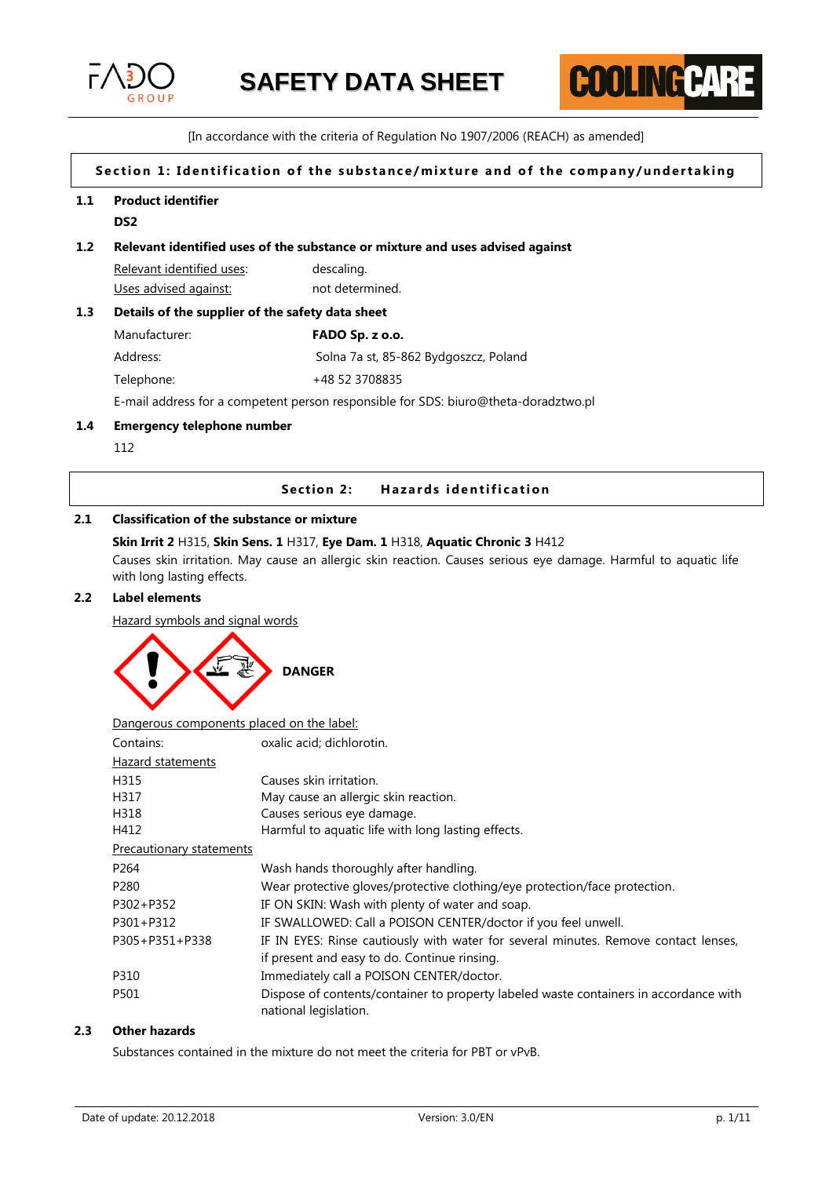



[In accordance with the criteria of Regulation No 1907/2006 (REACH) as amended]

# Section 1: Identification of the substance/mixture and of the company/undertaking

#### **1.1 Product identifier**

**DS2**

#### **1.2 Relevant identified uses of the substance or mixture and uses advised against**

| Relevant identified uses: | descaling.      |
|---------------------------|-----------------|
| Uses advised against:     | not determined. |

# **1.3 Details of the supplier of the safety data sheet**

| Manufacturer: | FADO Sp. z o.o.                       |
|---------------|---------------------------------------|
| Address:      | Solna 7a st, 85-862 Bydgoszcz, Poland |
| Telephone:    | +48 52 3708835                        |

E-mail address for a competent person responsible for SDS: biuro@theta-doradztwo.pl

### **1.4 Emergency telephone number**

112

# **Section 2:** Hazards identification

# **2.1 Classification of the substance or mixture**

### **Skin Irrit 2** H315, **Skin Sens. 1** H317, **Eye Dam. 1** H318, **Aquatic Chronic 3** H412

Causes skin irritation. May cause an allergic skin reaction. Causes serious eye damage. Harmful to aquatic life with long lasting effects.

## **2.2 Label elements**

Hazard symbols and signal words



Dangerous components placed on the label:

| Contains:                | oxalic acid; dichlorotin.                                                                                                           |
|--------------------------|-------------------------------------------------------------------------------------------------------------------------------------|
| <b>Hazard statements</b> |                                                                                                                                     |
| H315                     | Causes skin irritation.                                                                                                             |
| H317                     | May cause an allergic skin reaction.                                                                                                |
| H318                     | Causes serious eye damage.                                                                                                          |
| H412                     | Harmful to aquatic life with long lasting effects.                                                                                  |
| Precautionary statements |                                                                                                                                     |
| P <sub>264</sub>         | Wash hands thoroughly after handling.                                                                                               |
| P <sub>280</sub>         | Wear protective gloves/protective clothing/eye protection/face protection.                                                          |
| P302+P352                | IF ON SKIN: Wash with plenty of water and soap.                                                                                     |
| P301+P312                | IF SWALLOWED: Call a POISON CENTER/doctor if you feel unwell.                                                                       |
| P305+P351+P338           | IF IN EYES: Rinse cautiously with water for several minutes. Remove contact lenses,<br>if present and easy to do. Continue rinsing. |
| P310                     | Immediately call a POISON CENTER/doctor.                                                                                            |
| P501                     | Dispose of contents/container to property labeled waste containers in accordance with<br>national legislation.                      |

# **2.3 Other hazards**

Substances contained in the mixture do not meet the criteria for PBT or vPvB.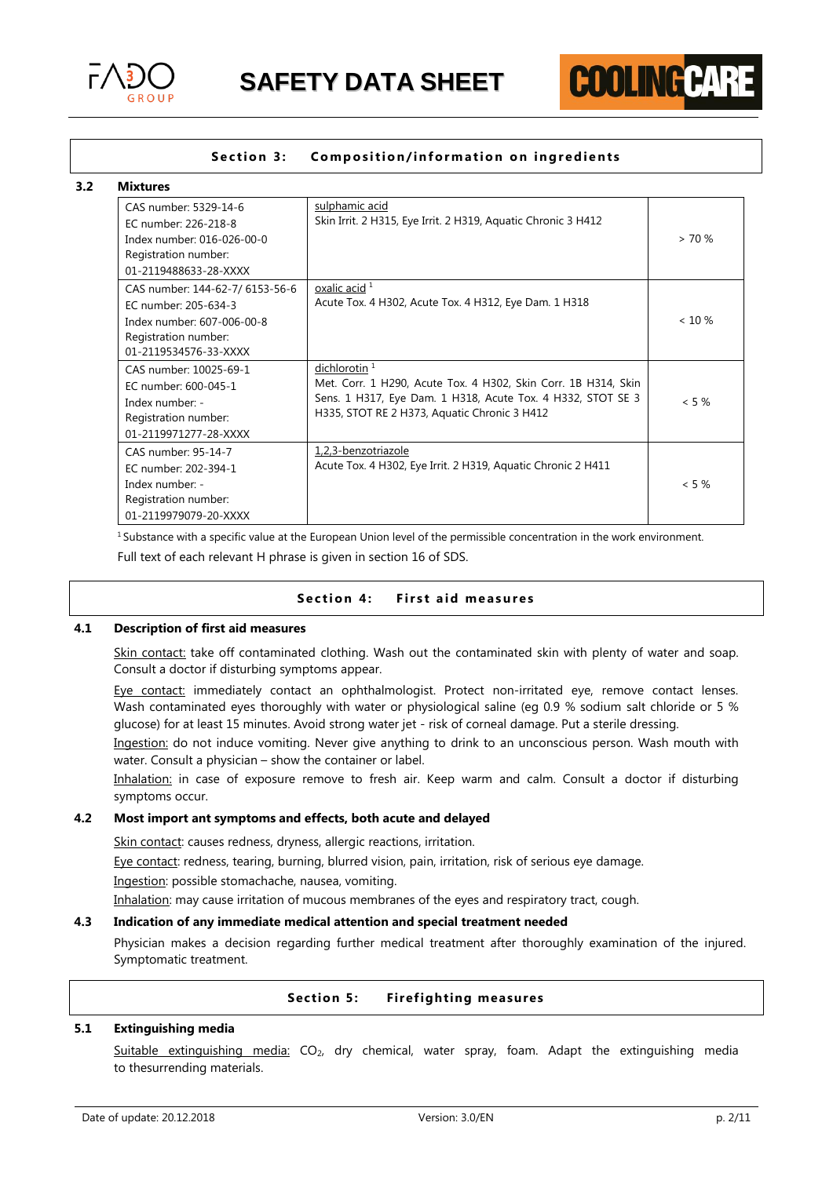



### **Section 3:** Composition/information on ingredients

#### **3.2 Mixtures**

| CAS number: 5329-14-6<br>EC number: 226-218-8<br>Index number: 016-026-00-0<br>Registration number:<br>01-2119488633-28-XXXX           | sulphamic acid<br>Skin Irrit. 2 H315, Eye Irrit. 2 H319, Aquatic Chronic 3 H412                                                                                                                  | > 70%     |
|----------------------------------------------------------------------------------------------------------------------------------------|--------------------------------------------------------------------------------------------------------------------------------------------------------------------------------------------------|-----------|
| CAS number: 144-62-7/ 6153-56-6<br>EC number: 205-634-3<br>Index number: 607-006-00-8<br>Registration number:<br>01-2119534576-33-XXXX | oxalic acid 1<br>Acute Tox. 4 H302, Acute Tox. 4 H312, Eye Dam. 1 H318                                                                                                                           | $< 10 \%$ |
| CAS number: 10025-69-1<br>EC number: 600-045-1<br>Index number: -<br>Registration number:<br>01-2119971277-28-XXXX                     | dichlorotin $1$<br>Met. Corr. 1 H290, Acute Tox. 4 H302, Skin Corr. 1B H314, Skin<br>Sens. 1 H317, Eye Dam. 1 H318, Acute Tox. 4 H332, STOT SE 3<br>H335, STOT RE 2 H373, Aquatic Chronic 3 H412 | $< 5 \%$  |
| CAS number: 95-14-7<br>EC number: 202-394-1<br>Index number: -<br>Registration number:<br>01-2119979079-20-XXXX                        | 1,2,3-benzotriazole<br>Acute Tox. 4 H302, Eye Irrit. 2 H319, Aquatic Chronic 2 H411                                                                                                              | $< 5 \%$  |

 $1$  Substance with a specific value at the European Union level of the permissible concentration in the work environment.

Full text of each relevant H phrase is given in section 16 of SDS.

#### Section 4: First aid measures

#### **4.1 Description of first aid measures**

Skin contact: take off contaminated clothing. Wash out the contaminated skin with plenty of water and soap. Consult a doctor if disturbing symptoms appear.

Eye contact: immediately contact an ophthalmologist. Protect non-irritated eye, remove contact lenses. Wash contaminated eyes thoroughly with water or physiological saline (eg 0.9 % sodium salt chloride or 5 % glucose) for at least 15 minutes. Avoid strong water jet - risk of corneal damage. Put a sterile dressing.

Ingestion: do not induce vomiting. Never give anything to drink to an unconscious person. Wash mouth with water. Consult a physician – show the container or label.

Inhalation: in case of exposure remove to fresh air. Keep warm and calm. Consult a doctor if disturbing symptoms occur.

## **4.2 Most import ant symptoms and effects, both acute and delayed**

Skin contact: causes redness, dryness, allergic reactions, irritation.

Eye contact: redness, tearing, burning, blurred vision, pain, irritation, risk of serious eye damage.

Ingestion: possible stomachache, nausea, vomiting.

Inhalation: may cause irritation of mucous membranes of the eyes and respiratory tract, cough.

### **4.3 Indication of any immediate medical attention and special treatment needed**

Physician makes a decision regarding further medical treatment after thoroughly examination of the injured. Symptomatic treatment.

#### **Section 5: Firefighting measures**

# **5.1 Extinguishing media**

Suitable extinguishing media: CO<sub>2</sub>, dry chemical, water spray, foam. Adapt the extinguishing media to thesurrending materials.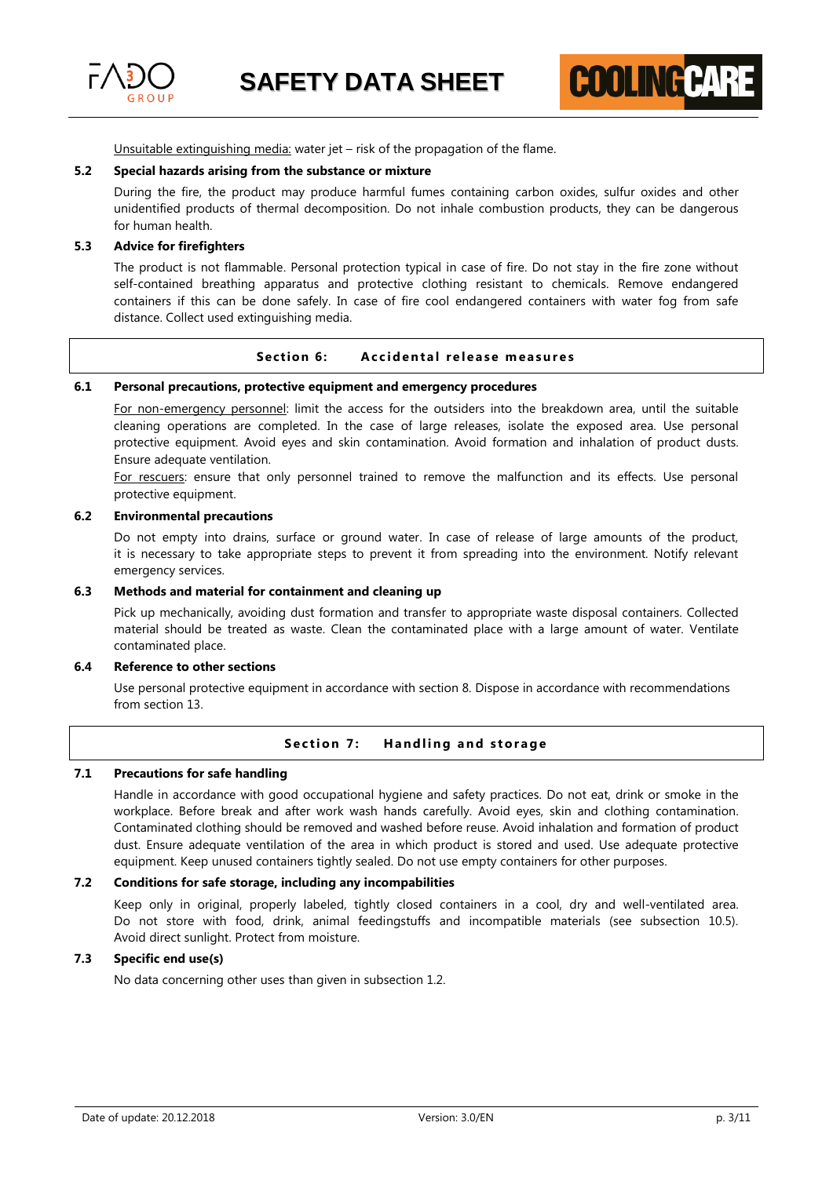



Unsuitable extinguishing media: water jet – risk of the propagation of the flame.

#### **5.2 Special hazards arising from the substance or mixture**

During the fire, the product may produce harmful fumes containing carbon oxides, sulfur oxides and other unidentified products of thermal decomposition. Do not inhale combustion products, they can be dangerous for human health.

# **5.3 Advice for firefighters**

The product is not flammable. Personal protection typical in case of fire. Do not stay in the fire zone without self-contained breathing apparatus and protective clothing resistant to chemicals. Remove endangered containers if this can be done safely. In case of fire cool endangered containers with water fog from safe distance. Collect used extinguishing media.

# **Section 6:** Accidental release measures

#### **6.1 Personal precautions, protective equipment and emergency procedures**

For non-emergency personnel: limit the access for the outsiders into the breakdown area, until the suitable cleaning operations are completed. In the case of large releases, isolate the exposed area. Use personal protective equipment. Avoid eyes and skin contamination. Avoid formation and inhalation of product dusts. Ensure adequate ventilation.

For rescuers: ensure that only personnel trained to remove the malfunction and its effects. Use personal protective equipment.

# **6.2 Environmental precautions**

Do not empty into drains, surface or ground water. In case of release of large amounts of the product, it is necessary to take appropriate steps to prevent it from spreading into the environment. Notify relevant emergency services.

### **6.3 Methods and material for containment and cleaning up**

Pick up mechanically, avoiding dust formation and transfer to appropriate waste disposal containers. Collected material should be treated as waste. Clean the contaminated place with a large amount of water. Ventilate contaminated place.

# **6.4 Reference to other sections**

Use personal protective equipment in accordance with section 8. Dispose in accordance with recommendations from section 13.

# **Section 7: Handling and storage**

# **7.1 Precautions for safe handling**

Handle in accordance with good occupational hygiene and safety practices. Do not eat, drink or smoke in the workplace. Before break and after work wash hands carefully. Avoid eyes, skin and clothing contamination. Contaminated clothing should be removed and washed before reuse. Avoid inhalation and formation of product dust. Ensure adequate ventilation of the area in which product is stored and used. Use adequate protective equipment. Keep unused containers tightly sealed. Do not use empty containers for other purposes.

#### **7.2 Conditions for safe storage, including any incompabilities**

Keep only in original, properly labeled, tightly closed containers in a cool, dry and well-ventilated area. Do not store with food, drink, animal feedingstuffs and incompatible materials (see subsection 10.5). Avoid direct sunlight. Protect from moisture.

# **7.3 Specific end use(s)**

No data concerning other uses than given in subsection 1.2.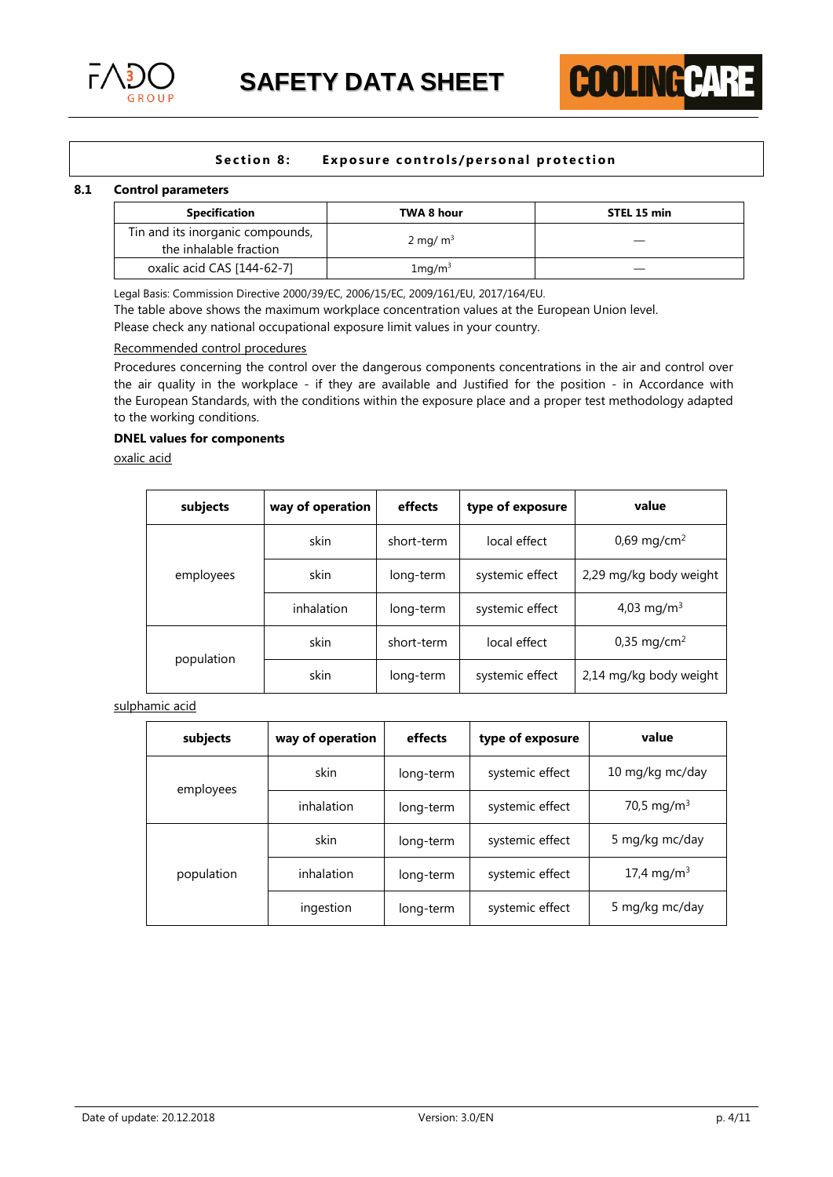

# **Section 8:** Exposure controls/personal protection

# **8.1 Control parameters**

| <b>Specification</b>                                       | TWA 8 hour        | STEL 15 min |
|------------------------------------------------------------|-------------------|-------------|
| Tin and its inorganic compounds,<br>the inhalable fraction | 2 mg/ $m3$        |             |
| oxalic acid CAS [144-62-7]                                 | $1 \text{mg/m}^3$ |             |

Legal Basis: Commission Directive 2000/39/EC, 2006/15/EC, 2009/161/EU, 2017/164/EU.

The table above shows the maximum workplace concentration values at the European Union level. Please check any national occupational exposure limit values in your country.

# Recommended control procedures

Procedures concerning the control over the dangerous components concentrations in the air and control over the air quality in the workplace - if they are available and Justified for the position - in Accordance with the European Standards, with the conditions within the exposure place and a proper test methodology adapted to the working conditions.

# **DNEL values for components**

oxalic acid

| subjects   | way of operation | effects    | type of exposure | value                     |
|------------|------------------|------------|------------------|---------------------------|
|            | skin             | short-term | local effect     | $0,69 \,\mathrm{mg/cm^2}$ |
| employees  | skin             | long-term  | systemic effect  | 2,29 mg/kg body weight    |
|            | inhalation       | long-term  | systemic effect  | 4,03 mg/m <sup>3</sup>    |
|            | skin             | short-term | local effect     | $0.35$ mg/cm <sup>2</sup> |
| population | skin             | long-term  | systemic effect  | 2,14 mg/kg body weight    |

sulphamic acid

| subjects   | way of operation | effects   | type of exposure | value                  |
|------------|------------------|-----------|------------------|------------------------|
|            | skin             | long-term | systemic effect  | 10 mg/kg mc/day        |
| employees  | inhalation       | long-term | systemic effect  | 70,5 mg/m <sup>3</sup> |
|            | skin             | long-term | systemic effect  | 5 mg/kg mc/day         |
| population | inhalation       | long-term | systemic effect  | 17,4 mg/m <sup>3</sup> |
|            | ingestion        | long-term | systemic effect  | 5 mg/kg mc/day         |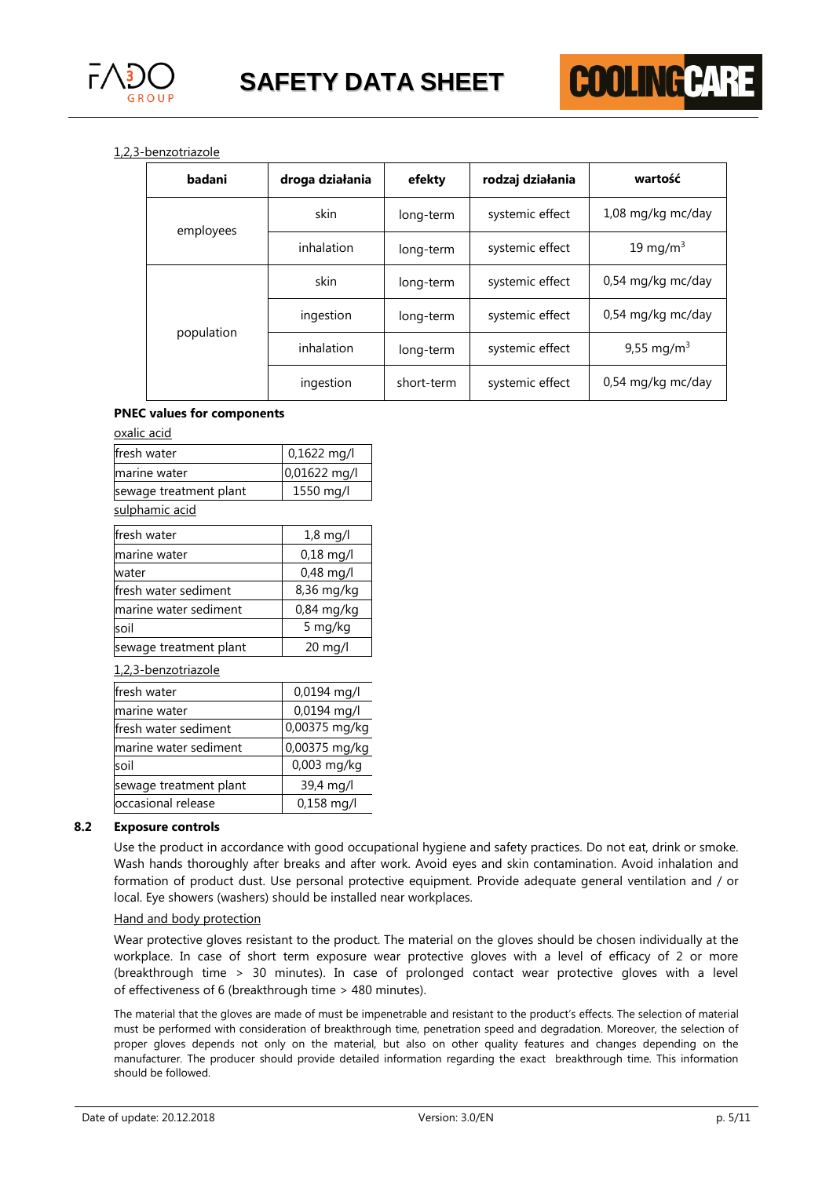

# 1,2,3-benzotriazole

| badani     | droga działania | efekty     | rodzaj działania | wartość                |
|------------|-----------------|------------|------------------|------------------------|
| employees  | skin            | long-term  | systemic effect  | 1,08 mg/kg mc/day      |
|            | inhalation      | long-term  | systemic effect  | 19 mg/m $3$            |
|            | skin            | long-term  | systemic effect  | 0,54 mg/kg mc/day      |
|            | ingestion       | long-term  | systemic effect  | 0,54 mg/kg mc/day      |
| population | inhalation      | long-term  | systemic effect  | 9,55 mg/m <sup>3</sup> |
|            | ingestion       | short-term | systemic effect  | 0,54 mg/kg mc/day      |

# **PNEC values for components**

oxalic acid  $f$ resh water  $\vert$  0,1622 mg/l marine water  $\vert 0.01622 \text{ m} \text{g/l} \vert$ sewage treatment plant | 1550 mg/l sulphamic acid fresh water 1,8 mg/l marine water  $\vert$  0,18 mg/l water  $0.48$  mg/l  $\frac{1}{\sqrt{2}}$  is the set of  $\frac{1}{\sqrt{2}}$  of  $\frac{1}{\sqrt{2}}$  or  $\frac{1}{\sqrt{2}}$  or  $\frac{1}{\sqrt{2}}$  or  $\frac{1}{\sqrt{2}}$  or  $\frac{1}{\sqrt{2}}$  or  $\frac{1}{\sqrt{2}}$  or  $\frac{1}{\sqrt{2}}$  or  $\frac{1}{\sqrt{2}}$  or  $\frac{1}{\sqrt{2}}$  or  $\frac{1}{\sqrt{2}}$  or  $\frac{1}{\sqrt{2}}$  or  $\$ 

| ifresh water sediment  | 6,30 HQ/KG        |
|------------------------|-------------------|
| marine water sediment  | $0,84$ mg/kg      |
| soil                   | 5 mg/kg           |
| sewage treatment plant | $20 \text{ mg/l}$ |

# 1,2,3-benzotriazole

| fresh water            | 0,0194 mg/l   |
|------------------------|---------------|
| marine water           | 0,0194 mg/l   |
| fresh water sediment   | 0,00375 mg/kg |
| marine water sediment  | 0,00375 mg/kg |
| soil                   | 0,003 mg/kg   |
| sewage treatment plant | 39,4 mg/l     |
| occasional release     | $0,158$ mg/l  |

# **8.2 Exposure controls**

Use the product in accordance with good occupational hygiene and safety practices. Do not eat, drink or smoke. Wash hands thoroughly after breaks and after work. Avoid eyes and skin contamination. Avoid inhalation and formation of product dust. Use personal protective equipment. Provide adequate general ventilation and / or local. Eye showers (washers) should be installed near workplaces.

#### Hand and body protection

Wear protective gloves resistant to the product. The material on the gloves should be chosen individually at the workplace. In case of short term exposure wear protective gloves with a level of efficacy of 2 or more (breakthrough time > 30 minutes). In case of prolonged contact wear protective gloves with a level of effectiveness of 6 (breakthrough time > 480 minutes).

The material that the gloves are made of must be impenetrable and resistant to the product's effects. The selection of material must be performed with consideration of breakthrough time, penetration speed and degradation. Moreover, the selection of proper gloves depends not only on the material, but also on other quality features and changes depending on the manufacturer. The producer should provide detailed information regarding the exact breakthrough time. This information should be followed.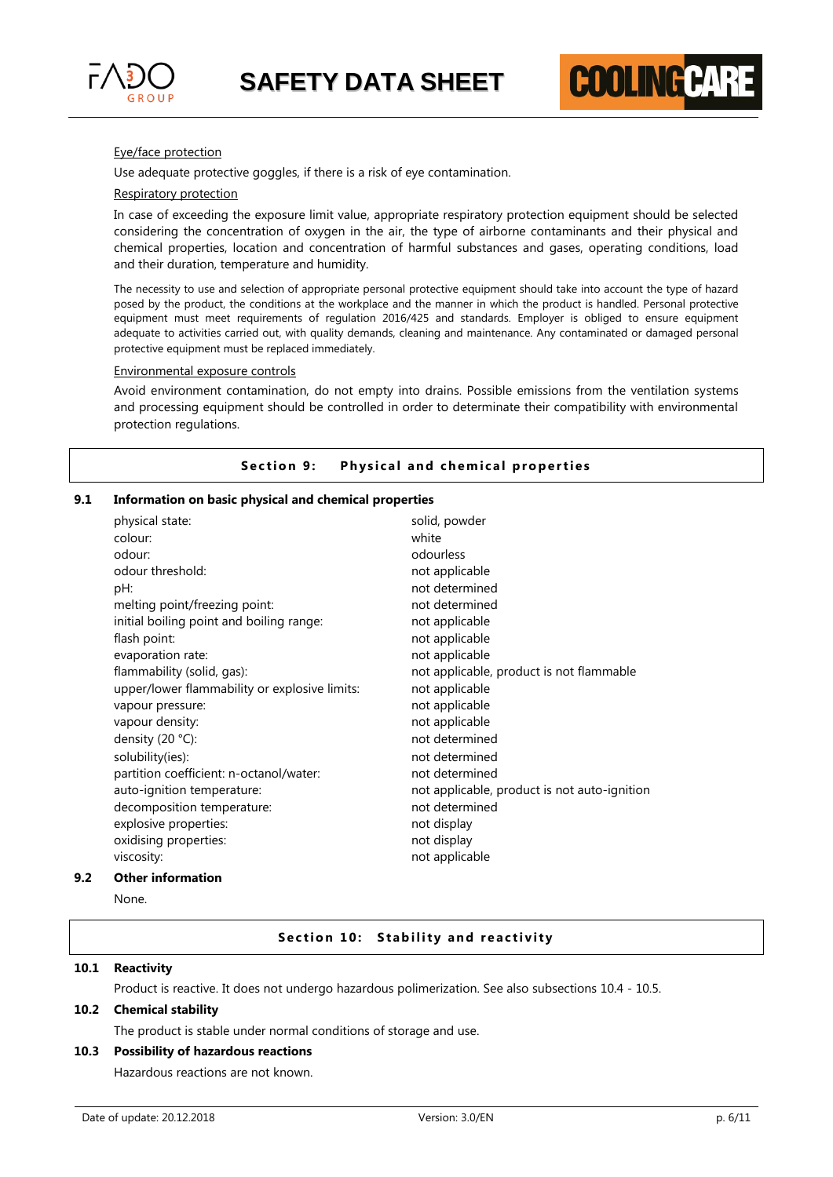

# Eye/face protection

Use adequate protective goggles, if there is a risk of eye contamination.

#### Respiratory protection

In case of exceeding the exposure limit value, appropriate respiratory protection equipment should be selected considering the concentration of oxygen in the air, the type of airborne contaminants and their physical and chemical properties, location and concentration of harmful substances and gases, operating conditions, load and their duration, temperature and humidity.

**COOLING BAN** 

The necessity to use and selection of appropriate personal protective equipment should take into account the type of hazard posed by the product, the conditions at the workplace and the manner in which the product is handled. Personal protective equipment must meet requirements of regulation 2016/425 and standards. Employer is obliged to ensure equipment adequate to activities carried out, with quality demands, cleaning and maintenance. Any contaminated or damaged personal protective equipment must be replaced immediately.

#### Environmental exposure controls

Avoid environment contamination, do not empty into drains. Possible emissions from the ventilation systems and processing equipment should be controlled in order to determinate their compatibility with environmental protection regulations.

#### **Section 9:** Physical and chemical properties

# **9.1 Information on basic physical and chemical properties**

| physical state:                               | solid, powder                                |
|-----------------------------------------------|----------------------------------------------|
| colour:                                       | white                                        |
| odour:                                        | odourless                                    |
| odour threshold:                              | not applicable                               |
| pH:                                           | not determined                               |
| melting point/freezing point:                 | not determined                               |
| initial boiling point and boiling range:      | not applicable                               |
| flash point:                                  | not applicable                               |
| evaporation rate:                             | not applicable                               |
| flammability (solid, gas):                    | not applicable, product is not flammable     |
| upper/lower flammability or explosive limits: | not applicable                               |
| vapour pressure:                              | not applicable                               |
| vapour density:                               | not applicable                               |
| density (20 °C):                              | not determined                               |
| solubility(ies):                              | not determined                               |
| partition coefficient: n-octanol/water:       | not determined                               |
| auto-ignition temperature:                    | not applicable, product is not auto-ignition |
| decomposition temperature:                    | not determined                               |
| explosive properties:                         | not display                                  |
| oxidising properties:                         | not display                                  |
| viscosity:                                    | not applicable                               |
| Other information                             |                                              |

None.

**9.2 Other information**

### **Section 10: Stability and reactivity**

#### **10.1 Reactivity**

Product is reactive. It does not undergo hazardous polimerization. See also subsections 10.4 - 10.5.

#### **10.2 Chemical stability**

The product is stable under normal conditions of storage and use.

# **10.3 Possibility of hazardous reactions**

Hazardous reactions are not known.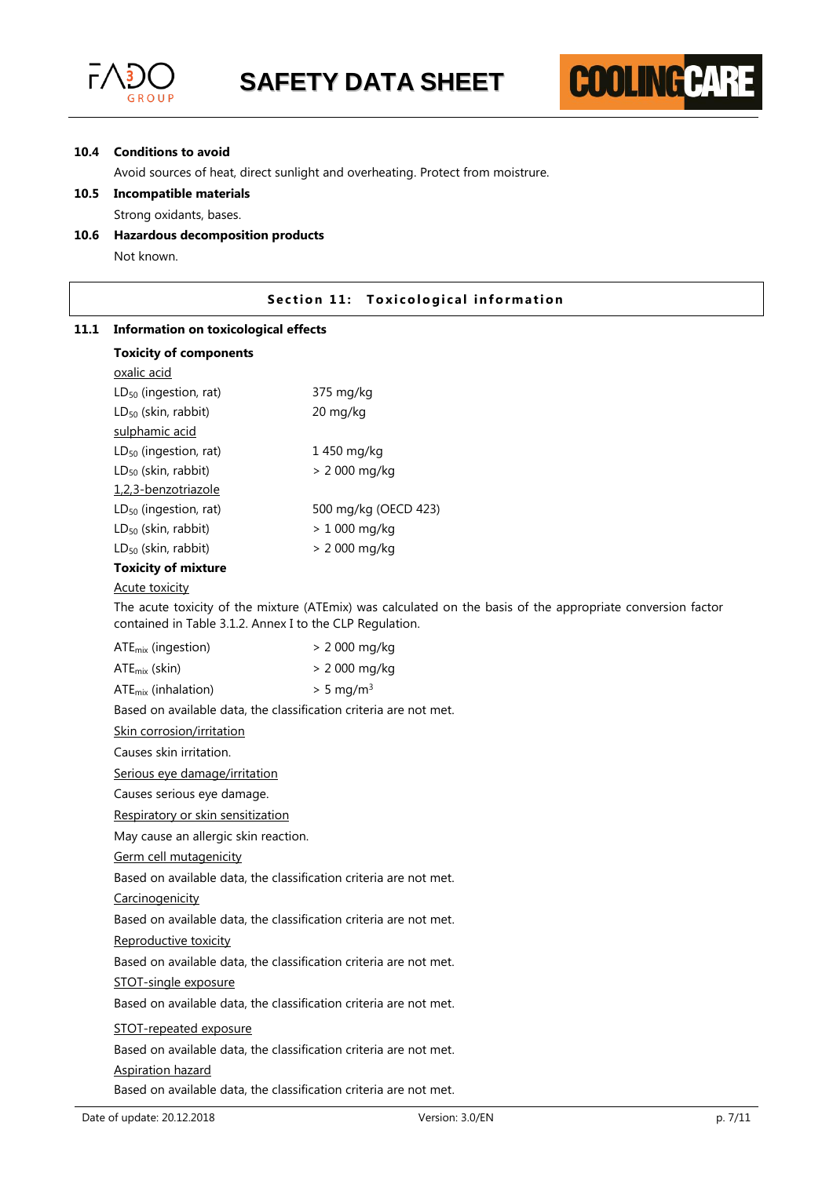



# **10.4 Conditions to avoid**

Avoid sources of heat, direct sunlight and overheating. Protect from moistrure.

- **10.5 Incompatible materials**
- Strong oxidants, bases.
- **10.6 Hazardous decomposition products**

Not known.

| Section 11: Toxicological information<br><b>Information on toxicological effects</b><br>11.1 |                                                                   |                                                                                                             |  |
|----------------------------------------------------------------------------------------------|-------------------------------------------------------------------|-------------------------------------------------------------------------------------------------------------|--|
| <b>Toxicity of components</b>                                                                |                                                                   |                                                                                                             |  |
| oxalic acid                                                                                  |                                                                   |                                                                                                             |  |
| LD <sub>50</sub> (ingestion, rat)                                                            | 375 mg/kg                                                         |                                                                                                             |  |
| LD <sub>50</sub> (skin, rabbit)                                                              | 20 mg/kg                                                          |                                                                                                             |  |
| sulphamic acid                                                                               |                                                                   |                                                                                                             |  |
| LD <sub>50</sub> (ingestion, rat)                                                            | 1450 mg/kg                                                        |                                                                                                             |  |
| LD <sub>50</sub> (skin, rabbit)                                                              | > 2 000 mg/kg                                                     |                                                                                                             |  |
| 1,2,3-benzotriazole                                                                          |                                                                   |                                                                                                             |  |
| LD <sub>50</sub> (ingestion, rat)                                                            |                                                                   | 500 mg/kg (OECD 423)                                                                                        |  |
| LD <sub>50</sub> (skin, rabbit)                                                              | > 1 000 mg/kg                                                     |                                                                                                             |  |
| LD <sub>50</sub> (skin, rabbit)                                                              | > 2 000 mg/kg                                                     |                                                                                                             |  |
| <b>Toxicity of mixture</b>                                                                   |                                                                   |                                                                                                             |  |
| <b>Acute toxicity</b>                                                                        |                                                                   |                                                                                                             |  |
|                                                                                              | contained in Table 3.1.2. Annex I to the CLP Regulation.          | The acute toxicity of the mixture (ATEmix) was calculated on the basis of the appropriate conversion factor |  |
| ATE <sub>mix</sub> (ingestion)                                                               | > 2 000 mg/kg                                                     |                                                                                                             |  |
| $ATE_{mix}$ (skin)                                                                           | > 2 000 mg/kg                                                     |                                                                                                             |  |
| $ATE_{mix}$ (inhalation)                                                                     | $> 5$ mg/m <sup>3</sup>                                           |                                                                                                             |  |
|                                                                                              | Based on available data, the classification criteria are not met. |                                                                                                             |  |
| Skin corrosion/irritation<br>Causes skin irritation.                                         |                                                                   |                                                                                                             |  |
|                                                                                              |                                                                   |                                                                                                             |  |
|                                                                                              | Causes serious eye damage.                                        |                                                                                                             |  |
|                                                                                              | Respiratory or skin sensitization                                 |                                                                                                             |  |
|                                                                                              | May cause an allergic skin reaction.                              |                                                                                                             |  |
| Germ cell mutagenicity                                                                       |                                                                   |                                                                                                             |  |
|                                                                                              | Based on available data, the classification criteria are not met. |                                                                                                             |  |
| Carcinogenicity                                                                              |                                                                   |                                                                                                             |  |
|                                                                                              | Based on available data, the classification criteria are not met. |                                                                                                             |  |
| Reproductive toxicity                                                                        |                                                                   |                                                                                                             |  |
|                                                                                              | Based on available data, the classification criteria are not met. |                                                                                                             |  |
| STOT-single exposure                                                                         |                                                                   |                                                                                                             |  |
|                                                                                              | Based on available data, the classification criteria are not met. |                                                                                                             |  |
| STOT-repeated exposure                                                                       |                                                                   |                                                                                                             |  |
|                                                                                              | Based on available data, the classification criteria are not met. |                                                                                                             |  |
| <b>Aspiration hazard</b>                                                                     |                                                                   |                                                                                                             |  |
|                                                                                              | Based on available data, the classification criteria are not met. |                                                                                                             |  |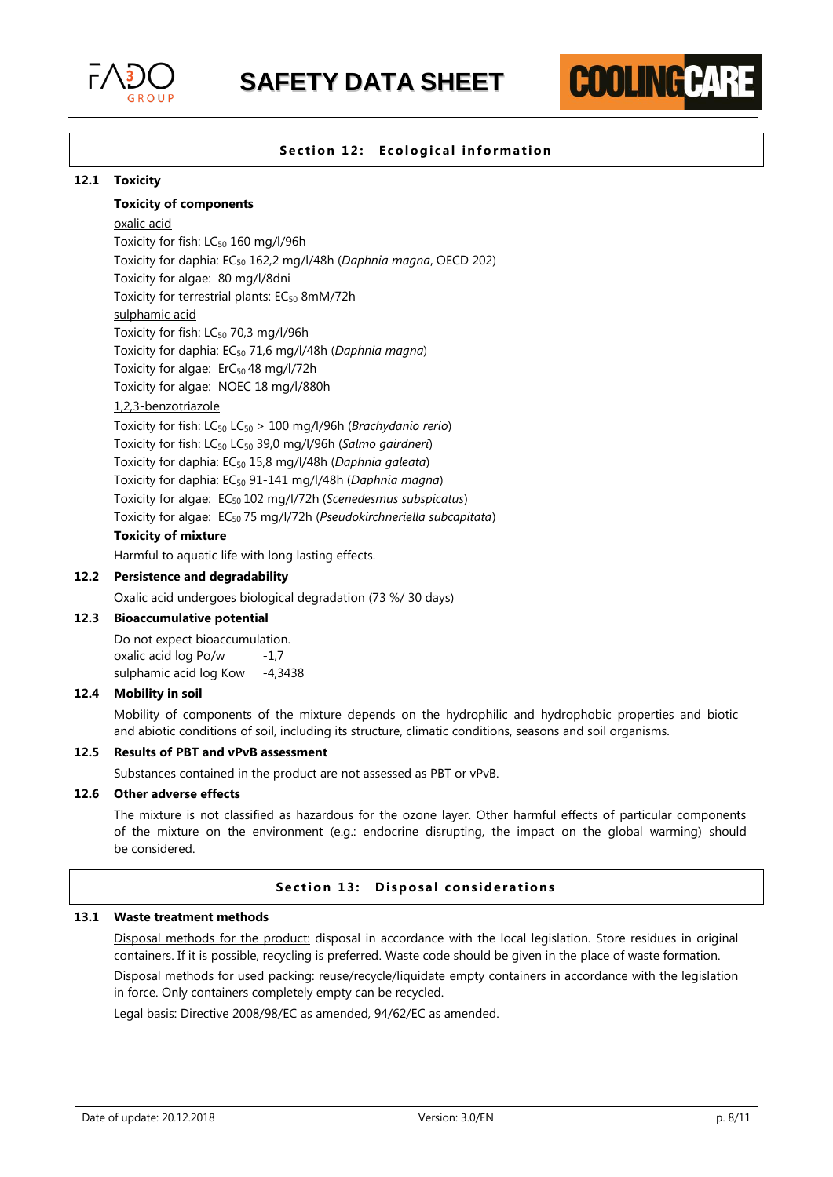



**COOLING P!** 

### **12.1 Toxicity**

#### **Toxicity of components**

# oxalic acid

Toxicity for fish:  $LC_{50}$  160 mg/l/96h Toxicity for daphia: EC<sup>50</sup> 162,2 mg/l/48h (*Daphnia magna*, OECD 202) Toxicity for algae: 80 mg/l/8dni Toxicity for terrestrial plants: EC<sub>50</sub> 8mM/72h sulphamic acid Toxicity for fish:  $LC_{50}$  70,3 mg/l/96h Toxicity for daphia: EC<sup>50</sup> 71,6 mg/l/48h (*Daphnia magna*) Toxicity for algae:  $ErC_{50}$  48 mg/l/72h Toxicity for algae: NOEC 18 mg/l/880h

### 1,2,3-benzotriazole

Toxicity for fish: LC<sup>50</sup> LC<sup>50</sup> > 100 mg/l/96h (*Brachydanio rerio*) Toxicity for fish: LC<sup>50</sup> LC<sup>50</sup> 39,0 mg/l/96h (*Salmo gairdneri*) Toxicity for daphia: EC<sup>50</sup> 15,8 mg/l/48h (*Daphnia galeata*) Toxicity for daphia: EC<sup>50</sup> 91-141 mg/l/48h (*Daphnia magna*) Toxicity for algae: EC<sup>50</sup> 102 mg/l/72h (*Scenedesmus subspicatus*) Toxicity for algae: EC<sup>50</sup> 75 mg/l/72h (*Pseudokirchneriella subcapitata*)

### **Toxicity of mixture**

Harmful to aquatic life with long lasting effects.

# **12.2 Persistence and degradability**

Oxalic acid undergoes biological degradation (73 %/ 30 days)

# **12.3 Bioaccumulative potential**

Do not expect bioaccumulation. oxalic acid log Po/w -1,7 sulphamic acid log Kow -4,3438

### **12.4 Mobility in soil**

Mobility of components of the mixture depends on the hydrophilic and hydrophobic properties and biotic and abiotic conditions of soil, including its structure, climatic conditions, seasons and soil organisms.

# **12.5 Results of PBT and vPvB assessment**

Substances contained in the product are not assessed as PBT or vPvB.

### **12.6 Other adverse effects**

The mixture is not classified as hazardous for the ozone layer. Other harmful effects of particular components of the mixture on the environment (e.g.: endocrine disrupting, the impact on the global warming) should be considered.

#### **Section 13: Disposal considerations**

#### **13.1 Waste treatment methods**

Disposal methods for the product: disposal in accordance with the local legislation. Store residues in original containers. If it is possible, recycling is preferred. Waste code should be given in the place of waste formation.

Disposal methods for used packing: reuse/recycle/liquidate empty containers in accordance with the legislation in force. Only containers completely empty can be recycled.

Legal basis: Directive 2008/98/EC as amended, 94/62/EC as amended.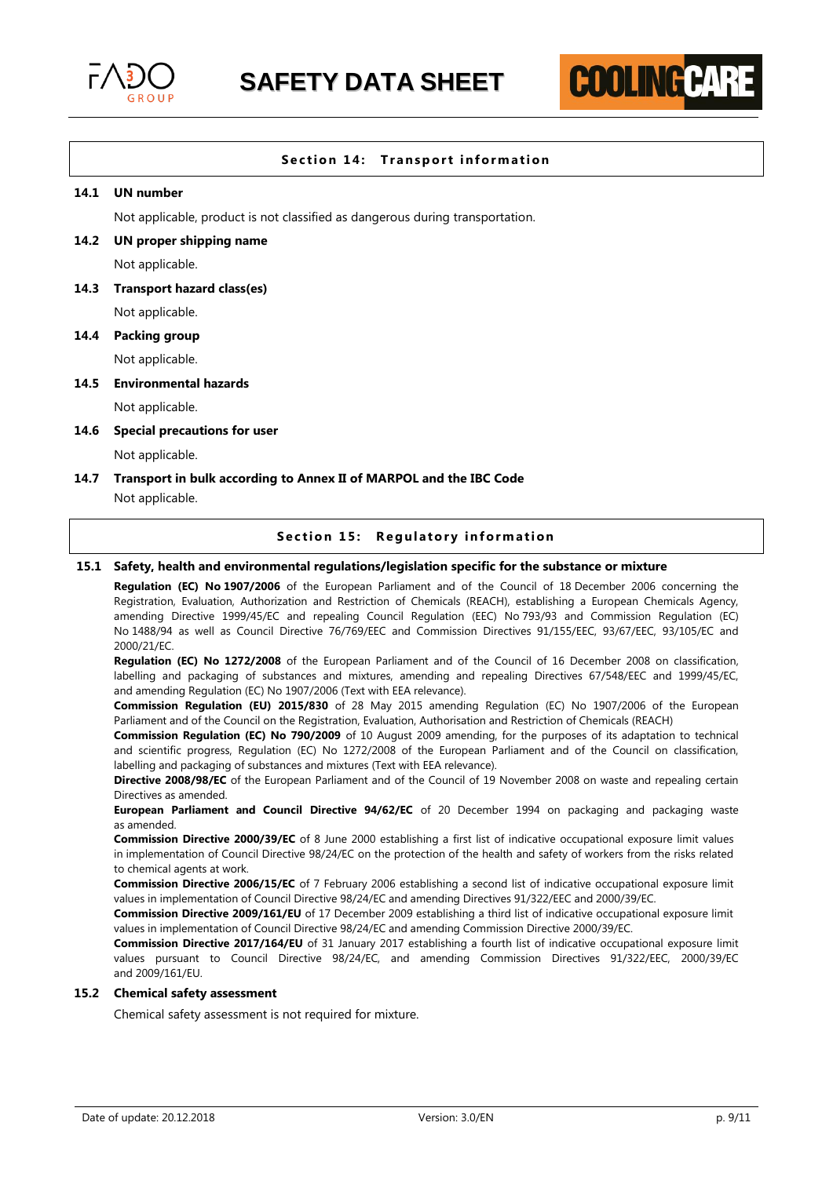

# **Section 14: Transport information**

**COOLING BA** 

#### **14.1 UN number**

Not applicable, product is not classified as dangerous during transportation.

**14.2 UN proper shipping name**

Not applicable.

**14.3 Transport hazard class(es)**

Not applicable.

**14.4 Packing group**

Not applicable.

#### **14.5 Environmental hazards**

Not applicable.

**14.6 Special precautions for user**

Not applicable.

# **14.7 Transport in bulk according to Annex II of MARPOL and the IBC Code** Not applicable.

#### **Section 15: Regulatory information**

#### **15.1 Safety, health and environmental regulations/legislation specific for the substance or mixture**

**Regulation (EC) No 1907/2006** of the European Parliament and of the Council of 18 December 2006 concerning the Registration, Evaluation, Authorization and Restriction of Chemicals (REACH), establishing a European Chemicals Agency, amending Directive 1999/45/EC and repealing Council Regulation (EEC) No 793/93 and Commission Regulation (EC) No 1488/94 as well as Council Directive 76/769/EEC and Commission Directives 91/155/EEC, 93/67/EEC, 93/105/EC and 2000/21/EC.

**Regulation (EC) No 1272/2008** of the European Parliament and of the Council of 16 December 2008 on classification, labelling and packaging of substances and mixtures, amending and repealing Directives 67/548/EEC and 1999/45/EC, and amending Regulation (EC) No 1907/2006 (Text with EEA relevance).

**Commission Regulation (EU) 2015/830** of 28 May 2015 amending Regulation (EC) No 1907/2006 of the European Parliament and of the Council on the Registration, Evaluation, Authorisation and Restriction of Chemicals (REACH)

**Commission Regulation (EC) No 790/2009** of 10 August 2009 amending, for the purposes of its adaptation to technical and scientific progress, Regulation (EC) No 1272/2008 of the European Parliament and of the Council on classification, labelling and packaging of substances and mixtures (Text with EEA relevance).

**Directive 2008/98/EC** of the European Parliament and of the Council of 19 November 2008 on waste and repealing certain Directives as amended.

**European Parliament and Council Directive 94/62/EC** of 20 December 1994 on packaging and packaging waste as amended.

**Commission Directive 2000/39/EC** of 8 June 2000 establishing a first list of indicative occupational exposure limit values in implementation of Council Directive 98/24/EC on the protection of the health and safety of workers from the risks related to chemical agents at work.

**Commission Directive 2006/15/EC** of 7 February 2006 establishing a second list of indicative occupational exposure limit values in implementation of Council Directive 98/24/EC and amending Directives 91/322/EEC and 2000/39/EC.

**Commission Directive 2009/161/EU** of 17 December 2009 establishing a third list of indicative occupational exposure limit values in implementation of Council Directive 98/24/EC and amending Commission Directive 2000/39/EC.

**Commission Directive 2017/164/EU** of 31 January 2017 establishing a fourth list of indicative occupational exposure limit values pursuant to Council Directive 98/24/EC, and amending Commission Directives 91/322/EEC, 2000/39/EC and 2009/161/EU.

#### **15.2 Chemical safety assessment**

Chemical safety assessment is not required for mixture.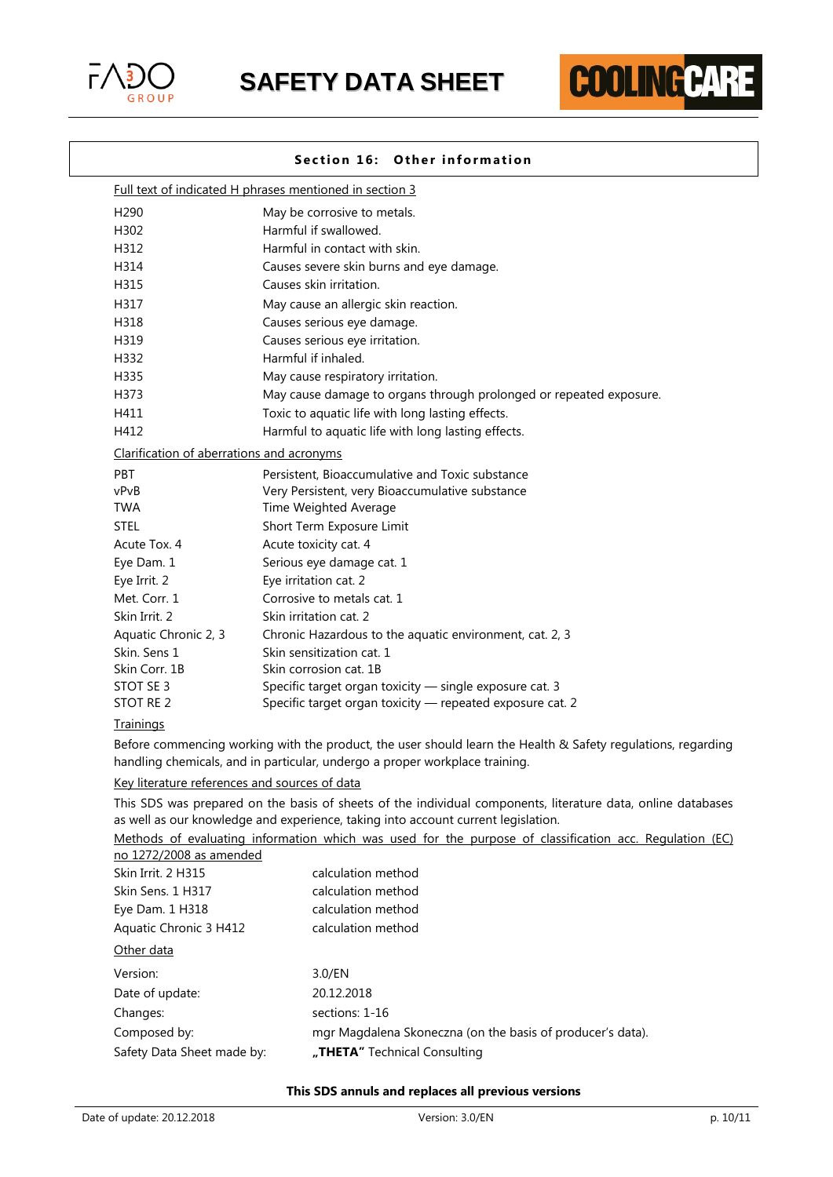



### **Section 16: Other information**

| Full text of indicated H phrases mentioned in section 3 |                                                                    |  |
|---------------------------------------------------------|--------------------------------------------------------------------|--|
| H <sub>290</sub>                                        | May be corrosive to metals.                                        |  |
| H302                                                    | Harmful if swallowed.                                              |  |
| H312                                                    | Harmful in contact with skin.                                      |  |
| H314                                                    | Causes severe skin burns and eye damage.                           |  |
| H315                                                    | Causes skin irritation.                                            |  |
| H317                                                    | May cause an allergic skin reaction.                               |  |
| H318                                                    | Causes serious eye damage.                                         |  |
| H319                                                    | Causes serious eye irritation.                                     |  |
| H332                                                    | Harmful if inhaled.                                                |  |
| H335                                                    | May cause respiratory irritation.                                  |  |
| H373                                                    | May cause damage to organs through prolonged or repeated exposure. |  |
| H411                                                    | Toxic to aquatic life with long lasting effects.                   |  |
| H412                                                    | Harmful to aquatic life with long lasting effects.                 |  |
| Clarification of aberrations and acronyms               |                                                                    |  |
| <b>PBT</b>                                              | Persistent, Bioaccumulative and Toxic substance                    |  |
| vPvB                                                    | Very Persistent, very Bioaccumulative substance                    |  |
| <b>TWA</b>                                              | Time Weighted Average                                              |  |
| <b>STEL</b>                                             | Short Term Exposure Limit                                          |  |
| Acute Tox. 4                                            | Acute toxicity cat. 4                                              |  |
| Eye Dam. 1                                              | Serious eye damage cat. 1                                          |  |
| Eye Irrit. 2                                            | Eye irritation cat. 2                                              |  |
| Met. Corr. 1                                            | Corrosive to metals cat. 1                                         |  |
| Skin Irrit. 2                                           | Skin irritation cat. 2                                             |  |
| Aquatic Chronic 2, 3                                    | Chronic Hazardous to the aquatic environment, cat. 2, 3            |  |
| Skin, Sens 1                                            | Skin sensitization cat. 1                                          |  |
| Skin Corr. 1B                                           | Skin corrosion cat. 1B                                             |  |
| STOT SE 3                                               | Specific target organ toxicity - single exposure cat. 3            |  |
| STOT RE 2                                               | Specific target organ toxicity - repeated exposure cat. 2          |  |

### **Trainings**

Before commencing working with the product, the user should learn the Health & Safety regulations, regarding handling chemicals, and in particular, undergo a proper workplace training.

Key literature references and sources of data

This SDS was prepared on the basis of sheets of the individual components, literature data, online databases as well as our knowledge and experience, taking into account current legislation.

Methods of evaluating information which was used for the purpose of classification acc. Regulation (EC) no 1272/2008 as amended

| Skin Irrit. 2 H315         | calculation method                                         |
|----------------------------|------------------------------------------------------------|
| Skin Sens. 1 H317          | calculation method                                         |
| Eye Dam. 1 H318            | calculation method                                         |
| Aquatic Chronic 3 H412     | calculation method                                         |
| Other data                 |                                                            |
| Version:                   | 3.0/EN                                                     |
| Date of update:            | 20.12.2018                                                 |
| Changes:                   | sections: 1-16                                             |
| Composed by:               | mgr Magdalena Skoneczna (on the basis of producer's data). |
| Safety Data Sheet made by: | "THETA" Technical Consulting                               |

### **This SDS annuls and replaces all previous versions**